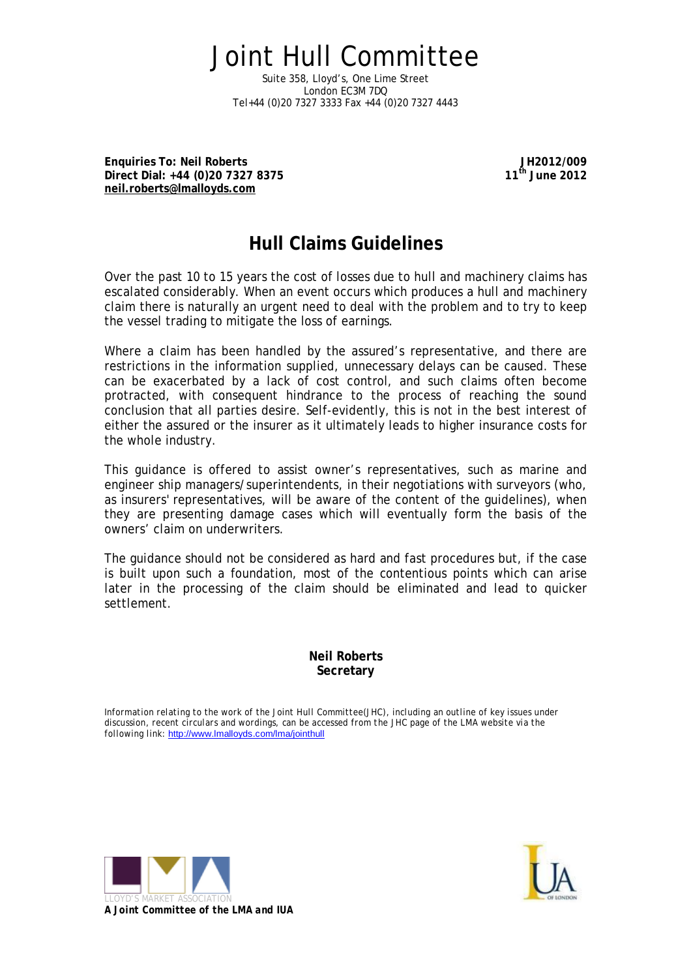Joint Hull Committee Suite 358, Lloyd's, One Lime Street London EC3M 7DQ Tel+44 (0)20 7327 3333 Fax +44 (0)20 7327 4443

**Enquiries To: Neil Roberts Direct Dial: +44 (0)20 7327 8375 [neil.roberts@lmalloyds.com](mailto:neil.roberts@lmalloyds.com)**

**JH2012/009 11th June 2012**

# **Hull Claims Guidelines**

Over the past 10 to 15 years the cost of losses due to hull and machinery claims has escalated considerably. When an event occurs which produces a hull and machinery claim there is naturally an urgent need to deal with the problem and to try to keep the vessel trading to mitigate the loss of earnings.

Where a claim has been handled by the assured's representative, and there are restrictions in the information supplied, unnecessary delays can be caused. These can be exacerbated by a lack of cost control, and such claims often become protracted, with consequent hindrance to the process of reaching the sound conclusion that all parties desire. Self-evidently, this is not in the best interest of either the assured or the insurer as it ultimately leads to higher insurance costs for the whole industry.

This guidance is offered to assist owner's representatives, such as marine and engineer ship managers/superintendents, in their negotiations with surveyors (who, as insurers' representatives, will be aware of the content of the guidelines), when they are presenting damage cases which will eventually form the basis of the owners' claim on underwriters.

The guidance should not be considered as hard and fast procedures but, if the case is built upon such a foundation, most of the contentious points which can arise later in the processing of the claim should be eliminated and lead to quicker settlement.

> **Neil Roberts Secretary**

*Information relating to the work of the Joint Hull Committee(JHC), including an outline of key issues under*  discussion, recent circulars and wordings, can be accessed from the JHC page of the LMA website via the *following link:* <http://www.lmalloyds.com/lma/jointhull>



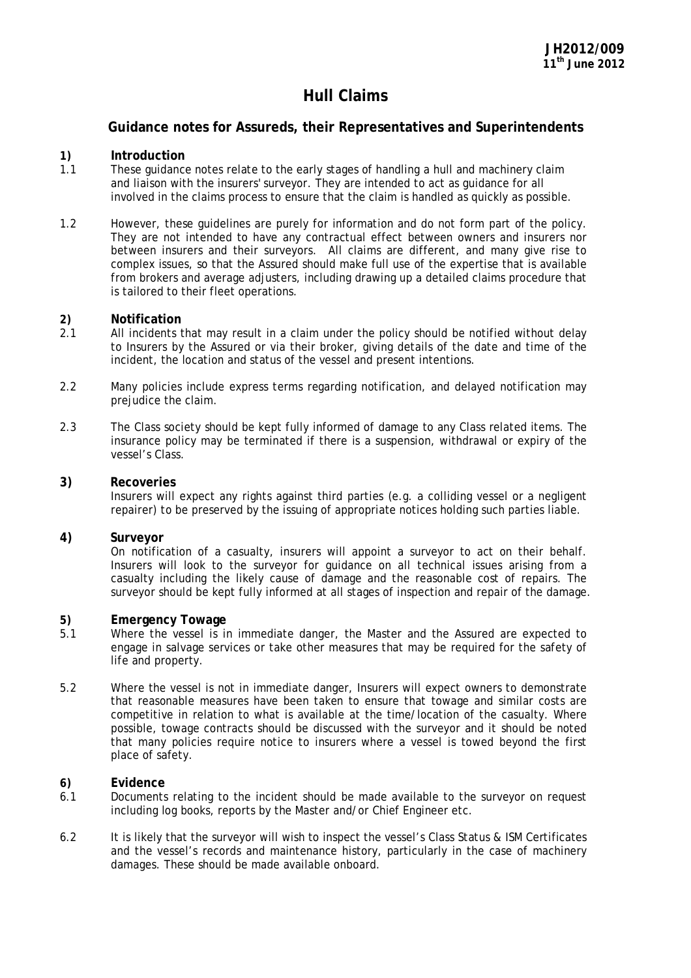# **Hull Claims**

## **Guidance notes for Assureds, their Representatives and Superintendents**

### **1) Introduction**

- 1.1 These guidance notes relate to the early stages of handling a hull and machinery claim and liaison with the insurers' surveyor. They are intended to act as guidance for all involved in the claims process to ensure that the claim is handled as quickly as possible.
- 1.2 However, these guidelines are purely for information and do not form part of the policy. They are not intended to have any contractual effect between owners and insurers nor between insurers and their surveyors. All claims are different, and many give rise to complex issues, so that the Assured should make full use of the expertise that is available from brokers and average adjusters, including drawing up a detailed claims procedure that is tailored to their fleet operations.

### **2) Notification**

- 2.1 All incidents that may result in a claim under the policy should be notified without delay to Insurers by the Assured or via their broker, giving details of the date and time of the incident, the location and status of the vessel and present intentions.
- 2.2 Many policies include express terms regarding notification, and delayed notification may prejudice the claim.
- 2.3 The Class society should be kept fully informed of damage to any Class related items. The insurance policy may be terminated if there is a suspension, withdrawal or expiry of the vessel's Class.

#### **3) Recoveries**

Insurers will expect any rights against third parties (e.g. a colliding vessel or a negligent repairer) to be preserved by the issuing of appropriate notices holding such parties liable.

#### **4) Surveyor**

On notification of a casualty, insurers will appoint a surveyor to act on their behalf. Insurers will look to the surveyor for guidance on all technical issues arising from a casualty including the likely cause of damage and the reasonable cost of repairs. The surveyor should be kept fully informed at all stages of inspection and repair of the damage.

# **5) Emergency Towage**

- Where the vessel is in immediate danger, the Master and the Assured are expected to engage in salvage services or take other measures that may be required for the safety of life and property.
- 5.2 Where the vessel is not in immediate danger, Insurers will expect owners to demonstrate that reasonable measures have been taken to ensure that towage and similar costs are competitive in relation to what is available at the time/location of the casualty. Where possible, towage contracts should be discussed with the surveyor and it should be noted that many policies require notice to insurers where a vessel is towed beyond the first place of safety.

# **6) Evidence**

- 6.1 Documents relating to the incident should be made available to the surveyor on request including log books, reports by the Master and/or Chief Engineer etc.
- 6.2 It is likely that the surveyor will wish to inspect the vessel's Class Status & ISM Certificates and the vessel's records and maintenance history, particularly in the case of machinery damages. These should be made available onboard.